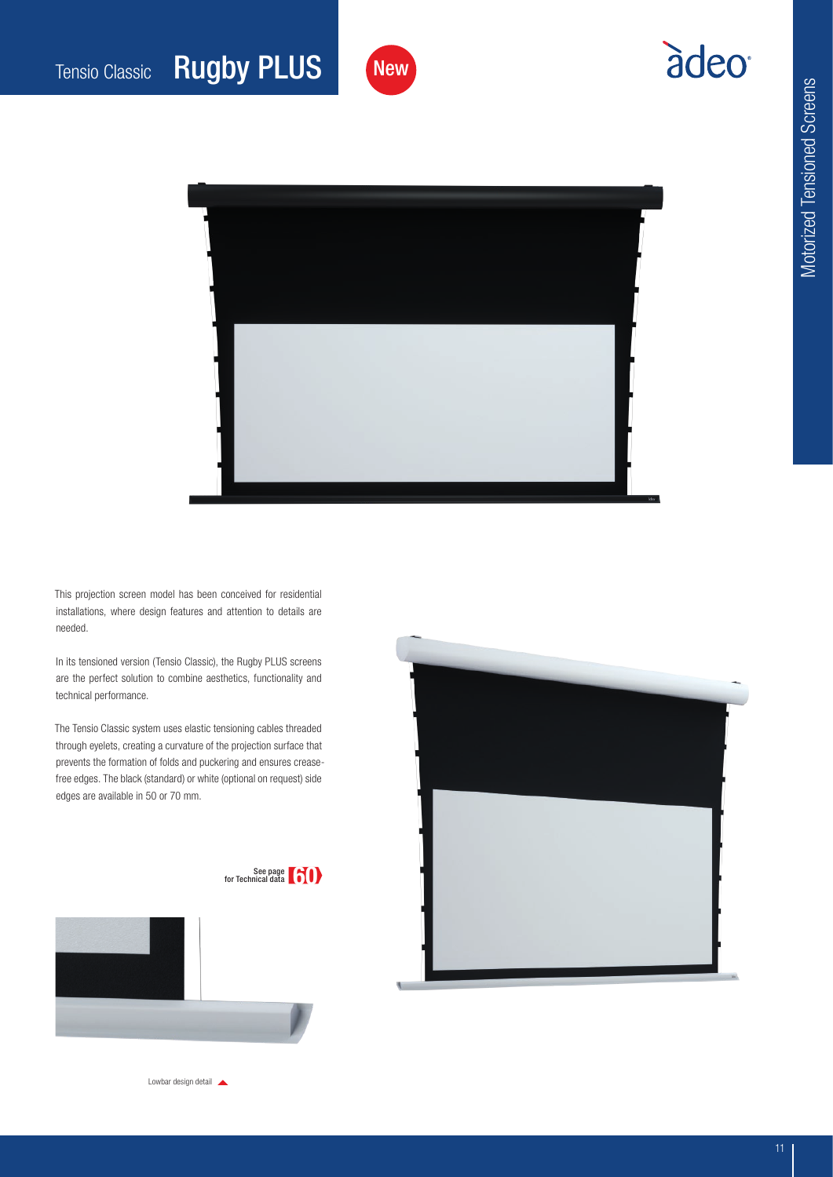## àdeo<sup>®</sup>



**New** 

This projection screen model has been conceived for residential installations, where design features and attention to details are needed.

In its tensioned version (Tensio Classic), the Rugby PLUS screens are the perfect solution to combine aesthetics, functionality and technical performance.

The Tensio Classic system uses elastic tensioning cables threaded through eyelets, creating a curvature of the projection surface that prevents the formation of folds and puckering and ensures creasefree edges. The black (standard) or white (optional on request) side edges are available in 50 or 70 mm.





Lowbar design detail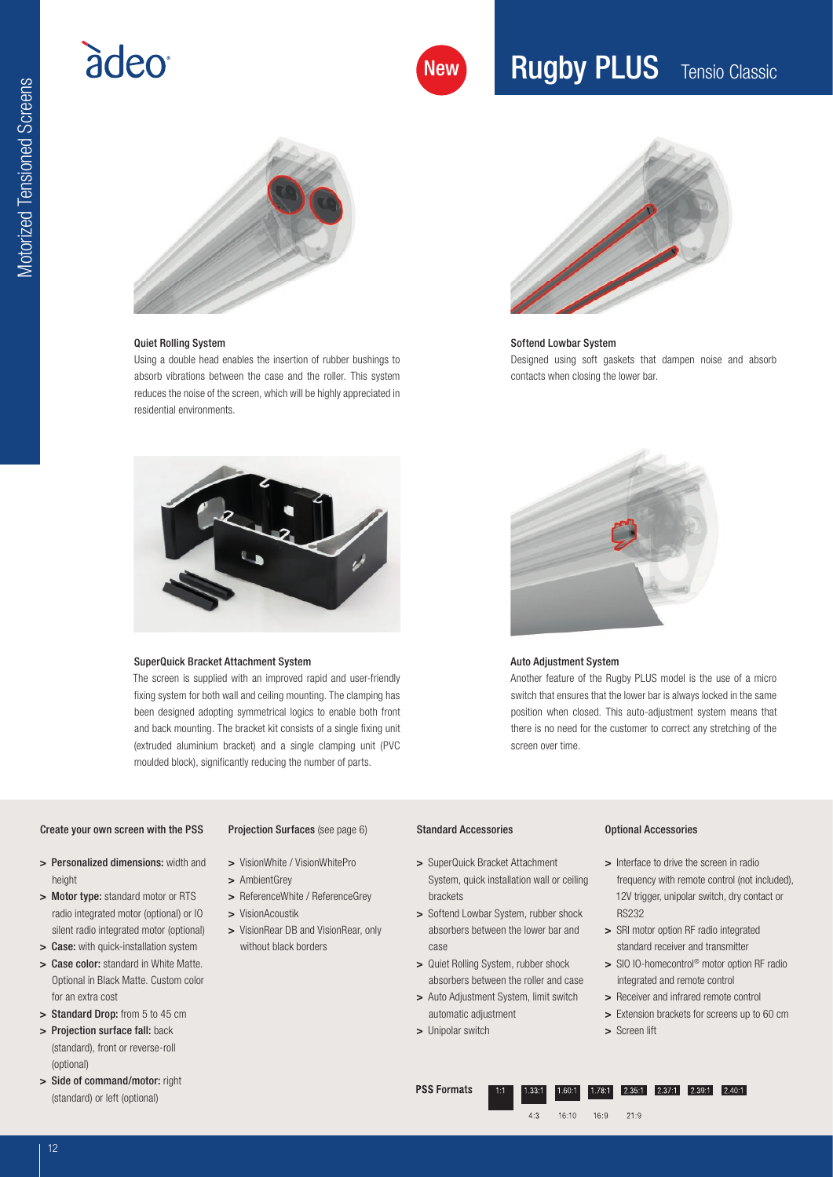## adeo

### **Rugby PLUS** Tensio Classic



#### Quiet Rolling System

Using a double head enables the insertion of rubber bushings to absorb vibrations between the case and the roller. This system reduces the noise of the screen, which will be highly appreciated in residential environments.



#### Softend Lowbar System Designed using soft gaskets that dampen noise and absorb contacts when closing the lower bar.



#### SuperQuick Bracket Attachment System

The screen is supplied with an improved rapid and user-friendly fixing system for both wall and ceiling mounting. The clamping has been designed adopting symmetrical logics to enable both front and back mounting. The bracket kit consists of a single fixing unit (extruded aluminium bracket) and a single clamping unit (PVC moulded block), significantly reducing the number of parts.



#### Auto Adjustment System

Another feature of the Rugby PLUS model is the use of a micro switch that ensures that the lower bar is always locked in the same position when closed. This auto-adjustment system means that there is no need for the customer to correct any stretching of the screen over time.

#### Create your own screen with the PSS

Projection Surfaces (see page 6)

- > Personalized dimensions: width and height
- > Motor type: standard motor or RTS radio integrated motor (optional) or IO silent radio integrated motor (optional)
- > Case: with quick-installation system
- > Case color: standard in White Matte. Optional in Black Matte. Custom color for an extra cost
- > Standard Drop: from 5 to 45 cm
- > Projection surface fall: back (standard), front or reverse-roll (optional)
- > Side of command/motor: right (standard) or left (optional)
- > VisionWhite / VisionWhitePro
- > AmbientGrey
- > ReferenceWhite / ReferenceGrey
- > VisionAcoustik
- > VisionRear DB and VisionRear, only without black borders

#### Standard Accessories

- > SuperQuick Bracket Attachment System, quick installation wall or ceiling brackets
- > Softend Lowbar System, rubber shock absorbers between the lower bar and case
- > Quiet Rolling System, rubber shock absorbers between the roller and case
- > Auto Adjustment System, limit switch automatic adjustment
- > Unipolar switch

#### Optional Accessories

- > Interface to drive the screen in radio frequency with remote control (not included), 12V trigger, unipolar switch, dry contact or RS232
- > SRI motor option RF radio integrated standard receiver and transmitter
- > SIO IO-homecontrol<sup>®</sup> motor option RF radio integrated and remote control
- > Receiver and infrared remote control
- > Extension brackets for screens up to 60 cm
- > Screen lift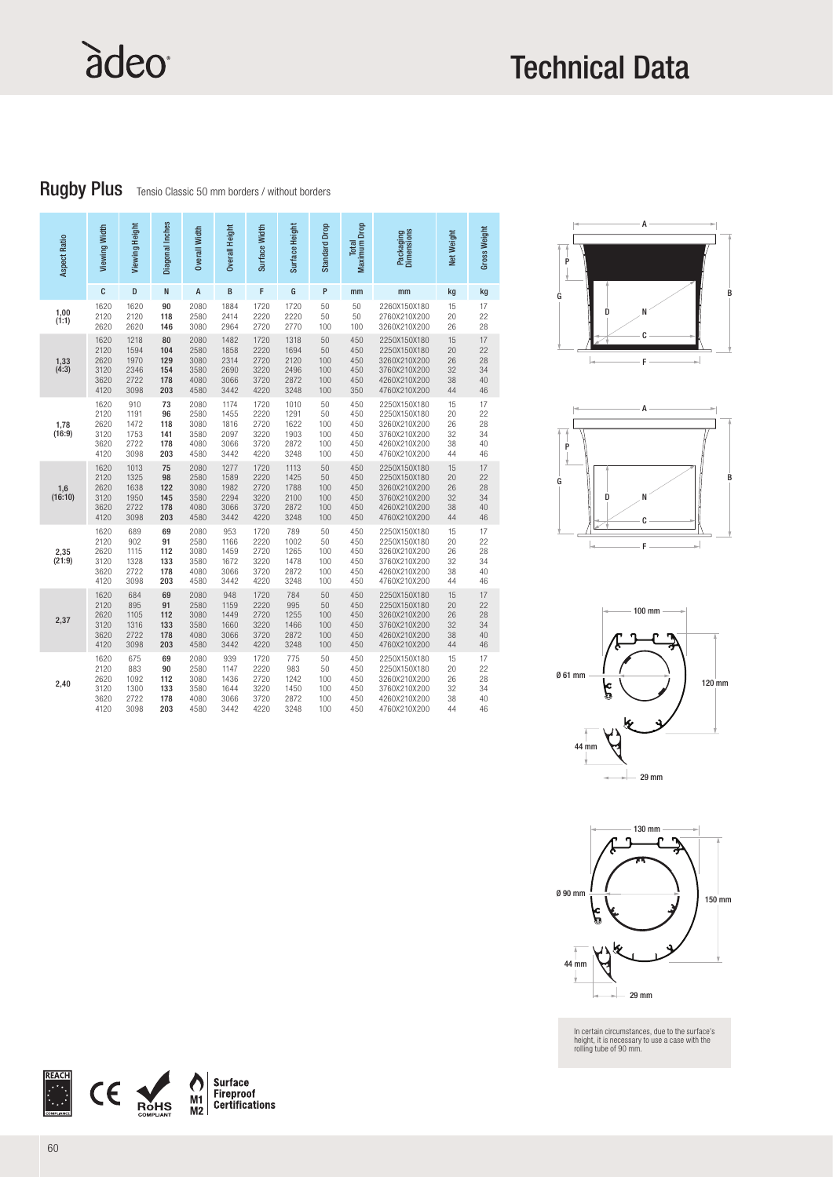# àdeo

### Technical Data

Rugby Plus Tensio Classic 50 mm borders / without borders

| Aspect Ratio   | Viewing Width                                | Viewing Height                               | Diagonal Inches                       | Overall Width                                | Overall Height                               | Surface Width                                | Surface Height                               | Standard Drop                        | <b>Maximum</b> Drop<br>Total           | Packaging<br>Dimensions                                                                      | Net Weight                       | Gross Weight                     |
|----------------|----------------------------------------------|----------------------------------------------|---------------------------------------|----------------------------------------------|----------------------------------------------|----------------------------------------------|----------------------------------------------|--------------------------------------|----------------------------------------|----------------------------------------------------------------------------------------------|----------------------------------|----------------------------------|
|                | C                                            | D                                            | N                                     | A                                            | B                                            | F                                            | G                                            | P                                    | mm                                     | mm                                                                                           | kg                               | kg                               |
| 1,00<br>(1:1)  | 1620<br>2120<br>2620                         | 1620<br>2120<br>2620                         | 90<br>118<br>146                      | 2080<br>2580<br>3080                         | 1884<br>2414<br>2964                         | 1720<br>2220<br>2720                         | 1720<br>2220<br>2770                         | 50<br>50<br>100                      | 50<br>50<br>100                        | 2260X150X180<br>2760X210X200<br>3260X210X200                                                 | 15<br>20<br>26                   | 17<br>22<br>28                   |
| 1,33<br>(4:3)  | 1620<br>2120<br>2620<br>3120<br>3620<br>4120 | 1218<br>1594<br>1970<br>2346<br>2722<br>3098 | 80<br>104<br>129<br>154<br>178<br>203 | 2080<br>2580<br>3080<br>3580<br>4080<br>4580 | 1482<br>1858<br>2314<br>2690<br>3066<br>3442 | 1720<br>2220<br>2720<br>3220<br>3720<br>4220 | 1318<br>1694<br>2120<br>2496<br>2872<br>3248 | 50<br>50<br>100<br>100<br>100<br>100 | 450<br>450<br>450<br>450<br>450<br>350 | 2250X150X180<br>2250X150X180<br>3260X210X200<br>3760X210X200<br>4260X210X200<br>4760X210X200 | 15<br>20<br>26<br>32<br>38<br>44 | 17<br>22<br>28<br>34<br>40<br>46 |
| 1,78<br>(16:9) | 1620<br>2120<br>2620<br>3120<br>3620<br>4120 | 910<br>1191<br>1472<br>1753<br>2722<br>3098  | 73<br>96<br>118<br>141<br>178<br>203  | 2080<br>2580<br>3080<br>3580<br>4080<br>4580 | 1174<br>1455<br>1816<br>2097<br>3066<br>3442 | 1720<br>2220<br>2720<br>3220<br>3720<br>4220 | 1010<br>1291<br>1622<br>1903<br>2872<br>3248 | 50<br>50<br>100<br>100<br>100<br>100 | 450<br>450<br>450<br>450<br>450<br>450 | 2250X150X180<br>2250X150X180<br>3260X210X200<br>3760X210X200<br>4260X210X200<br>4760X210X200 | 15<br>20<br>26<br>32<br>38<br>44 | 17<br>22<br>28<br>34<br>40<br>46 |
| 1,6<br>(16:10) | 1620<br>2120<br>2620<br>3120<br>3620<br>4120 | 1013<br>1325<br>1638<br>1950<br>2722<br>3098 | 75<br>98<br>122<br>145<br>178<br>203  | 2080<br>2580<br>3080<br>3580<br>4080<br>4580 | 1277<br>1589<br>1982<br>2294<br>3066<br>3442 | 1720<br>2220<br>2720<br>3220<br>3720<br>4220 | 1113<br>1425<br>1788<br>2100<br>2872<br>3248 | 50<br>50<br>100<br>100<br>100<br>100 | 450<br>450<br>450<br>450<br>450<br>450 | 2250X150X180<br>2250X150X180<br>3260X210X200<br>3760X210X200<br>4260X210X200<br>4760X210X200 | 15<br>20<br>26<br>32<br>38<br>44 | 17<br>22<br>28<br>34<br>40<br>46 |
| 2,35<br>(21:9) | 1620<br>2120<br>2620<br>3120<br>3620<br>4120 | 689<br>902<br>1115<br>1328<br>2722<br>3098   | 69<br>91<br>112<br>133<br>178<br>203  | 2080<br>2580<br>3080<br>3580<br>4080<br>4580 | 953<br>1166<br>1459<br>1672<br>3066<br>3442  | 1720<br>2220<br>2720<br>3220<br>3720<br>4220 | 789<br>1002<br>1265<br>1478<br>2872<br>3248  | 50<br>50<br>100<br>100<br>100<br>100 | 450<br>450<br>450<br>450<br>450<br>450 | 2250X150X180<br>2250X150X180<br>3260X210X200<br>3760X210X200<br>4260X210X200<br>4760X210X200 | 15<br>20<br>26<br>32<br>38<br>44 | 17<br>22<br>28<br>34<br>40<br>46 |
| 2,37           | 1620<br>2120<br>2620<br>3120<br>3620<br>4120 | 684<br>895<br>1105<br>1316<br>2722<br>3098   | 69<br>91<br>112<br>133<br>178<br>203  | 2080<br>2580<br>3080<br>3580<br>4080<br>4580 | 948<br>1159<br>1449<br>1660<br>3066<br>3442  | 1720<br>2220<br>2720<br>3220<br>3720<br>4220 | 784<br>995<br>1255<br>1466<br>2872<br>3248   | 50<br>50<br>100<br>100<br>100<br>100 | 450<br>450<br>450<br>450<br>450<br>450 | 2250X150X180<br>2250X150X180<br>3260X210X200<br>3760X210X200<br>4260X210X200<br>4760X210X200 | 15<br>20<br>26<br>32<br>38<br>44 | 17<br>22<br>28<br>34<br>40<br>46 |
| 2,40           | 1620<br>2120<br>2620<br>3120<br>3620<br>4120 | 675<br>883<br>1092<br>1300<br>2722<br>3098   | 69<br>90<br>112<br>133<br>178<br>203  | 2080<br>2580<br>3080<br>3580<br>4080<br>4580 | 939<br>1147<br>1436<br>1644<br>3066<br>3442  | 1720<br>2220<br>2720<br>3220<br>3720<br>4220 | 775<br>983<br>1242<br>1450<br>2872<br>3248   | 50<br>50<br>100<br>100<br>100<br>100 | 450<br>450<br>450<br>450<br>450<br>450 | 2250X150X180<br>2250X150X180<br>3260X210X200<br>3760X210X200<br>4260X210X200<br>4760X210X200 | 15<br>20<br>26<br>32<br>38<br>44 | 17<br>22<br>28<br>34<br>40<br>46 |









In certain circumstances, due to the surface's height, it is necessary to use a case with the rolling tube of 90 mm.